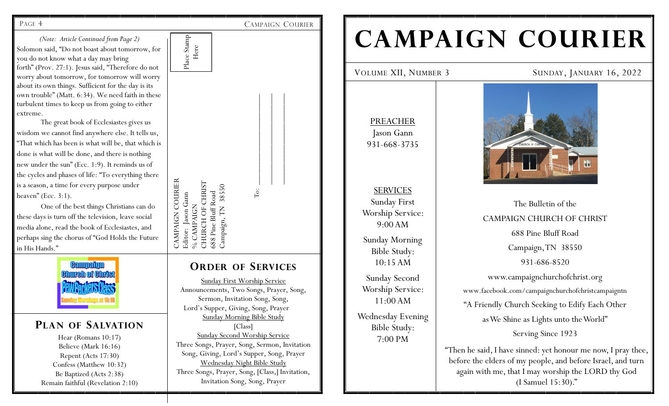*(Note: Article Continued from Page 2)* Solomon said, "Do not boast about tomorrow, for you do not know what a day may bring forth" (Prov. 27:1). Jesus said, "Therefore do not worry about tomorrow, for tomorrow will worry about its own things. Sufficient for the day is its own trouble" (Matt. 6:34). We need faith in these turbulent times to keep us from going to either extreme.

The great book of Ecclesiastes gives us wisdom we cannot find anywhere else. It tells us, "That which has been is what will be, that which is done is what will be done, and there is nothing new under the sun" (Ecc. 1:9). It reminds us of the cycles and phases of life: "To everything there is a season, a time for every purpose under heaven" (Ecc. 3:1).

One of the best things Christians can do these days is turn off the television, leave social media alone, read the book of Ecclesiastes, and perhaps sing the chorus of "God Holds the Future in His Hands."



## **PLAN OF SALVATION**

Hear (Romans 10:17) Believe (Mark 16:16) Repent (Acts 17:30) Confess (Matthew 10:32) Be Baptized (Acts 2:38) Remain faithful (Revelation 2:10)



PAGE 4 CAMPAIGN COURIER

**ORDER OF SERVICES**

Sunday First Worship Service Announcements, Two Songs, Prayer, Song, Sermon, Invitation Song, Song, Lord's Supper, Giving, Song, Prayer Sunday Morning Bible Study [Class] Sunday Second Worship Service Three Songs, Prayer, Song, Sermon, Invitation Song, Giving, Lord's Supper, Song, Prayer Wednesday Night Bible Study Three Songs, Prayer, Song, [Class,] Invitation, Invitation Song, Song, Prayer

# **CAMPAIGN COURIER**

PREACHER Jason Gann 931-668-3735

SERVICES Sunday First Worship Service: 9:00 AM Sunday Morning Bible Study: 10:15 AM

Sunday Second Worship Service: 11:00 AM Wednesday Evening

> Bible Study: 7:00 PM





The Bulletin of the CAMPAIGN CHURCH OF CHRIST 688 Pine Bluff Road Campaign, TN 38550 931-686-8520 www.campaignchurchofchrist.org www.facebook.com/campaignchurchofchristcampaigntn "A Friendly Church Seeking to Edify Each Other as We Shine as Lights unto the World" Serving Since 1923

"Then he said, I have sinned: yet honour me now, I pray thee, before the elders of my people, and before Israel, and turn again with me, that I may worship the LORD thy God (I Samuel 15:30)."